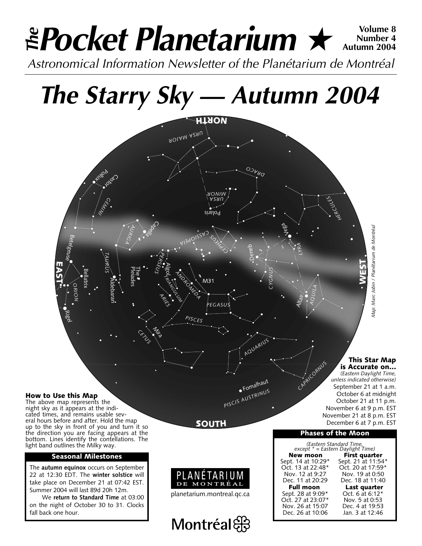### *Pocket Planetarium* ★ **Volume 8** *Astronomical Information Newsletter of the Planétarium de Montréal The* **Number 4 Autumn 2004**

## *The Starry Sky — Autumn 2004*



### **This Star Map**

*CAPRICORNUS* **is Accurate on…** *(Eastern Daylight Time, unless indicated otherwise)* September 21 at 1 a.m. October 6 at midnight October 21 at 11 p.m. November 6 at 9 p.m. EST November 21 at 8 p.m. EST December 6 at 7 p.m. EST

### **Phases of the Moon**

*(Eastern Standard Time, except \* = Eastern Daylight Time)* **New moon** First quarter<br>Sept. 14 at 10:29\* Sept. 21 at 11:54 Sept. 14 at 10:29\* Sept. 21 at 11:54\*<br>Oct. 13 at 22:48\* Oct. 20 at 17:59\* Oct. 13 at 22:48\* Oct. 20 at 17:59\* Nov. 12 at 9:27 Nov. 19 at 0:50<br>Dec. 11 at 20:29 Dec. 18 at 11:40 Dec. 18 at 11:40 **Full moon Last quarter**<br>pt. 28 at 9:09\* Oct. 6 at 6:12\* Sept. 28 at 9:09\* Oct. 6 at 6:12\*<br>Oct. 27 at 23:07\* Nov. 5 at 0:53 Oct. 27 at 23:07\* Nov. 5 at 0:53<br>Nov. 26 at 15:07 Dec. 4 at 19:53 Nov. 26 at 15:07 Dec. 4 at 19:53<br>Dec. 26 at 10:06 Jan. 3 at 12:46 Dec. 26 at 10:06

#### **How to Use this Map**

The above map represents the night sky as it appears at the indicated times, and remains usable several hours before and after. Hold the map up to the sky in front of you and turn it so the direction you are facing appears at the bottom. Lines identify the contellations. The light band outlines the Milky way.

### **Seasonal Milestones**

The **autumn equinox** occurs on September 22 at 12:30 EDT. The **winter solstice** will take place on December 21 at 07:42 EST. Summer 2004 will last 89d 20h 12m.

We **return to Standard Time** at 03:00 on the night of October 30 to 31. Clocks fall back one hour.

**SOUTH**

Fomalhaut

*PISCIS AUSTRINUS*



planetarium.montreal.qc.ca